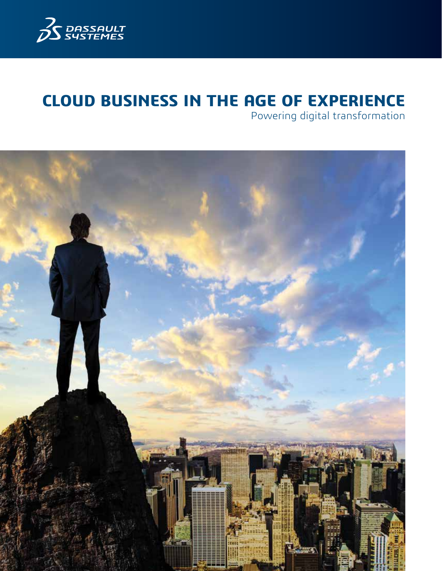

# **CLOUD BUSINESS IN THE AGE OF EXPERIENCE**

Powering digital transformation

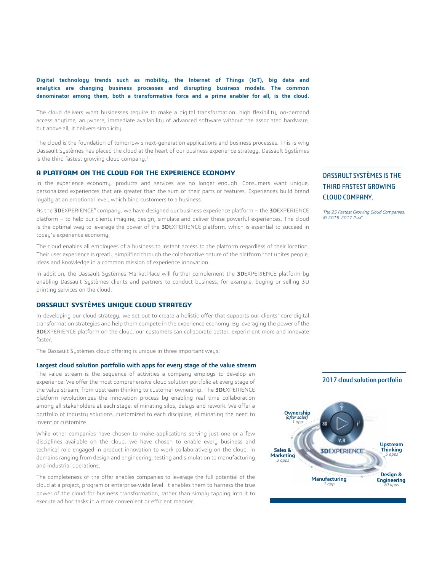**Digital technology trends such as mobility, the Internet of Things (IoT), big data and analytics are changing business processes and disrupting business models. The common denominator among them, both a transformative force and a prime enabler for all, is the cloud.** 

The cloud delivers what businesses require to make a digital transformation: high flexibility, on-demand access anytime, anywhere, immediate availability of advanced software without the associated hardware, but above all, it delivers simplicity.

The cloud is the foundation of tomorrow's next-generation applications and business processes. This is why Dassault Systèmes has placed the cloud at the heart of our business experience strategy. Dassault Systèmes is the third fastest growing cloud company.<sup>1</sup>

## **A PLATFORM ON THE CLOUD FOR THE EXPERIENCE ECONOMY**

In the experience economy, products and services are no longer enough. Consumers want unique, personalized experiences that are greater than the sum of their parts or features. Experiences build brand loyalty at an emotional level, which bind customers to a business.

As the **3D**EXPERIENCE® company, we have designed our business experience platform – the **3D**EXPERIENCE platform – to help our clients imagine, design, simulate and deliver these powerful experiences. The cloud is the optimal way to leverage the power of the **3D**EXPERIENCE platform, which is essential to succeed in today's experience economy.

The cloud enables all employees of a business to instant access to the platform regardless of their location. Their user experience is greatly simplified through the collaborative nature of the platform that unites people, ideas and knowledge in a common mission of experience innovation.

In addition, the Dassault Systèmes MarketPlace will further complement the **3D**EXPERIENCE platform by enabling Dassault Systèmes clients and partners to conduct business, for example, buying or selling 3D printing services on the cloud.

## **DASSAULT SYSTÈMES UNIQUE CLOUD STRATEGY**

In developing our cloud strategy, we set out to create a holistic offer that supports our clients' core digital transformation strategies and help them compete in the experience economy. By leveraging the power of the **3D**EXPERIENCE platform on the cloud, our customers can collaborate better, experiment more and innovate faster.

The Dassault Systèmes cloud offering is unique in three important ways:

### **Largest cloud solution portfolio with apps for every stage of the value stream**

The value stream is the sequence of activities a company employs to develop an experience. We offer the most comprehensive cloud solution portfolio at every stage of the value stream, from upstream thinking to customer ownership. The **3D**EXPERIENCE platform revolutionizes the innovation process by enabling real time collaboration among all stakeholders at each stage, eliminating silos, delays and rework. We offer a portfolio of industry solutions, customized to each discipline, eliminating the need to invent or customize.

While other companies have chosen to make applications serving just one or a few disciplines available on the cloud, we have chosen to enable every business and technical role engaged in product innovation to work collaboratively on the cloud, in domains ranging from design and engineering, testing and simulation to manufacturing and industrial operations.

The completeness of the offer enables companies to leverage the full potential of the cloud at a project, program or enterprise-wide level. It enables them to harness the true power of the cloud for business transformation, rather than simply tapping into it to execute ad hoc tasks in a more convenient or efficient manner.

## 2017 cloud solution portfolio **Ownership** *(after sales) 1 app* **Upstream Thinking Sales & 3DEXPERIENCE Marketing** *5 apps 3 apps* **Design & Manufacturing Engineering** *20 apps 1 app*

THIRD FASTEST GROWING CLOUD COMPANY.

DASSAULT SYSTÈMES IS THE

The 25 Fastest Growing Cloud Companies; © 2015-2017 PwC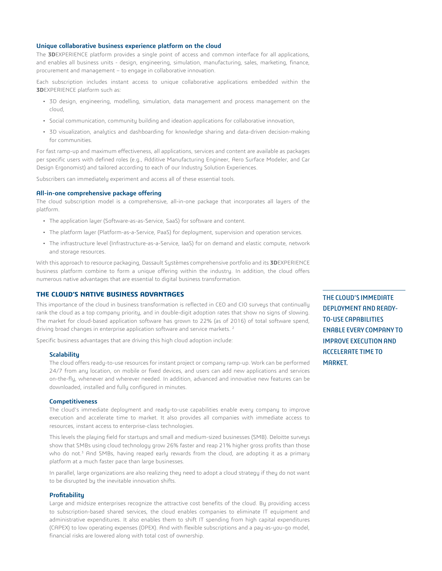## **Unique collaborative business experience platform on the cloud**

The **3D**EXPERIENCE platform provides a single point of access and common interface for all applications, and enables all business units - design, engineering, simulation, manufacturing, sales, marketing, finance, procurement and management – to engage in collaborative innovation.

Each subscription includes instant access to unique collaborative applications embedded within the **3D**EXPERIENCE platform such as:

- 3D design, engineering, modelling, simulation, data management and process management on the cloud,
- Social communication, community building and ideation applications for collaborative innovation,
- 3D visualization, analytics and dashboarding for knowledge sharing and data-driven decision-making for communities.

For fast ramp-up and maximum effectiveness, all applications, services and content are available as packages per specific users with defined roles (e.g., Additive Manufacturing Engineer, Aero Surface Modeler, and Car Design Ergonomist) and tailored according to each of our Industry Solution Experiences.

Subscribers can immediately experiment and access all of these essential tools.

#### **All-in-one comprehensive package offering**

The cloud subscription model is a comprehensive, all-in-one package that incorporates all layers of the platform.

- The application layer (Software-as-as-Service, SaaS) for software and content.
- The platform layer (Platform-as-a-Service, PaaS) for deployment, supervision and operation services.
- The infrastructure level (Infrastructure-as-a-Service, IaaS) for on demand and elastic compute, network and storage resources.

With this approach to resource packaging, Dassault Systèmes comprehensive portfolio and its **3D**EXPERIENCE business platform combine to form a unique offering within the industry. In addition, the cloud offers numerous native advantages that are essential to digital business transformation.

### **THE CLOUD'S NATIVE BUSINESS ADVANTAGES**

This importance of the cloud in business transformation is reflected in CEO and CIO surveys that continually rank the cloud as a top company priority, and in double-digit adoption rates that show no signs of slowing. The market for cloud-based application software has grown to 22% (as of 2016) of total software spend, driving broad changes in enterprise application software and service markets.<sup>2</sup>

Specific business advantages that are driving this high cloud adoption include:

#### **Scalability**

The cloud offers ready-to-use resources for instant project or company ramp-up. Work can be performed 24/7 from any location, on mobile or fixed devices, and users can add new applications and services on-the-fly, whenever and wherever needed. In addition, advanced and innovative new features can be downloaded, installed and fully configured in minutes.

#### **Competitiveness**

The cloud's immediate deployment and ready-to-use capabilities enable every company to improve execution and accelerate time to market. It also provides all companies with immediate access to resources, instant access to enterprise-class technologies.

This levels the playing field for startups and small and medium-sized businesses (SMB). Deloitte surveys show that SMBs using cloud technology grow 26% faster and reap 21% higher gross profits than those who do not.<sup>3</sup> And SMBs, having reaped early rewards from the cloud, are adopting it as a primary platform at a much faster pace than large businesses.

In parallel, large organizations are also realizing they need to adopt a cloud strategy if they do not want to be disrupted by the inevitable innovation shifts.

#### **Profitability**

Large and midsize enterprises recognize the attractive cost benefits of the cloud. By providing access to subscription-based shared services, the cloud enables companies to eliminate IT equipment and administrative expenditures. It also enables them to shift IT spending from high capital expenditures (CAPEX) to low operating expenses (OPEX). And with flexible subscriptions and a pay-as-you-go model, financial risks are lowered along with total cost of ownership.

THE CLOUD'S IMMEDIATE DEPLOYMENT AND READY-TO-USE CAPABILITIES ENABLE EVERY COMPANY TO IMPROVE EXECUTION AND ACCELERATE TIME TO MARKET.